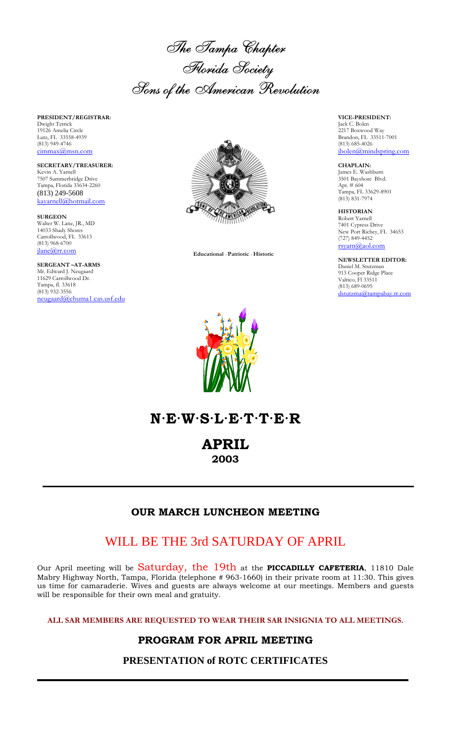The Tampa Chapter Florida Society Sons of the American Revolution

**PRESIDENT/REGISTRAR:** Dwight Tetrick 19126 Amelia Circle Lutz, FL 33558-4939 (813) 949-4746 cimmax@msn.com

**SECRETARY/TREASURER:** Kevin A. Yarnell 7507 Summerbridge Drive Tampa, Florida 33634-2260 (813) 249-5608 kayarnell@hotmail.com

**SURGEON** Walter W. Lane, JR., MD 14033 Shady Shores Carrollwood, FL 33613 (813) 968-6700 jlane@rr.com

**SERGEANT –AT-ARMS** Mr. Edward J. Neugaard 11629 Carrollwood Dr. Tampa, fl. 33618  $(813)$  932-3556 neugaard@chuma1.cas.usf.edu



 **Educational** · **Patriotic** · **Historic**



**VICE-PRESIDENT:** Jack C. Bolen 2217 Boxwood Way Brandon, FL 33511-7001 (813) 685-4026 jbolen@mindspring.com

**CHAPLAIN:** James E. Washburn 3501 Bayshore Blvd. Apt. # 604 Tampa, FL 33629-8901 (813) 831-7974

**HISTORIAN** Robert Yarnell 7401 Cypress Drive New Port Richey, FL 34653 (727) 849-4452 rsyarn@aol.com

**NEWSLETTER EDITOR:** Daniel M. Stutzman 913 Cooper Ridge Place Valrico, Fl 33511 (813) 689-0695 dstutzma@tampabay.rr.com

# **N·E·W·S·L·E·T·T·E·R**

**APRIL**

**2003**

### **OUR MARCH LUNCHEON MEETING**

## WILL BE THE 3rd SATURDAY OF APRIL

Our April meeting will be Saturday, the 19th at the **PICCADILLY CAFETERIA**, 11810 Dale Mabry Highway North, Tampa, Florida (telephone # 963-1660) in their private room at 11:30. This gives us time for camaraderie. Wives and guests are always welcome at our meetings. Members and guests will be responsible for their own meal and gratuity.

**ALL SAR MEMBERS ARE REQUESTED TO WEAR THEIR SAR INSIGNIA TO ALL MEETINGS.**

### **PROGRAM FOR APRIL MEETING**

**PRESENTATION of ROTC CERTIFICATES**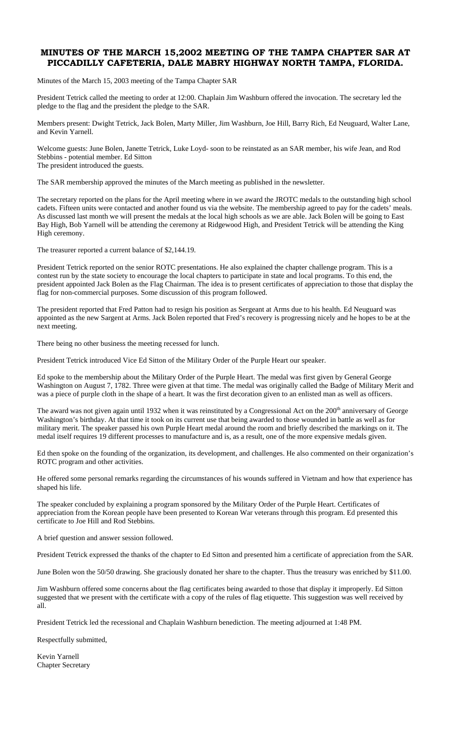#### **MINUTES OF THE MARCH 15,2002 MEETING OF THE TAMPA CHAPTER SAR AT PICCADILLY CAFETERIA, DALE MABRY HIGHWAY NORTH TAMPA, FLORIDA.**

Minutes of the March 15, 2003 meeting of the Tampa Chapter SAR

President Tetrick called the meeting to order at 12:00. Chaplain Jim Washburn offered the invocation. The secretary led the pledge to the flag and the president the pledge to the SAR.

Members present: Dwight Tetrick, Jack Bolen, Marty Miller, Jim Washburn, Joe Hill, Barry Rich, Ed Neuguard, Walter Lane, and Kevin Yarnell.

Welcome guests: June Bolen, Janette Tetrick, Luke Loyd- soon to be reinstated as an SAR member, his wife Jean, and Rod Stebbins - potential member. Ed Sitton The president introduced the guests.

The SAR membership approved the minutes of the March meeting as published in the newsletter.

The secretary reported on the plans for the April meeting where in we award the JROTC medals to the outstanding high school cadets. Fifteen units were contacted and another found us via the website. The membership agreed to pay for the cadets' meals. As discussed last month we will present the medals at the local high schools as we are able. Jack Bolen will be going to East Bay High, Bob Yarnell will be attending the ceremony at Ridgewood High, and President Tetrick will be attending the King High ceremony.

The treasurer reported a current balance of \$2,144.19.

President Tetrick reported on the senior ROTC presentations. He also explained the chapter challenge program. This is a contest run by the state society to encourage the local chapters to participate in state and local programs. To this end, the president appointed Jack Bolen as the Flag Chairman. The idea is to present certificates of appreciation to those that display the flag for non-commercial purposes. Some discussion of this program followed.

The president reported that Fred Patton had to resign his position as Sergeant at Arms due to his health. Ed Neuguard was appointed as the new Sargent at Arms. Jack Bolen reported that Fred's recovery is progressing nicely and he hopes to be at the next meeting.

There being no other business the meeting recessed for lunch.

President Tetrick introduced Vice Ed Sitton of the Military Order of the Purple Heart our speaker.

Ed spoke to the membership about the Military Order of the Purple Heart. The medal was first given by General George Washington on August 7, 1782. Three were given at that time. The medal was originally called the Badge of Military Merit and was a piece of purple cloth in the shape of a heart. It was the first decoration given to an enlisted man as well as officers.

The award was not given again until 1932 when it was reinstituted by a Congressional Act on the  $200<sup>th</sup>$  anniversary of George Washington's birthday. At that time it took on its current use that being awarded to those wounded in battle as well as for military merit. The speaker passed his own Purple Heart medal around the room and briefly described the markings on it. The medal itself requires 19 different processes to manufacture and is, as a result, one of the more expensive medals given.

Ed then spoke on the founding of the organization, its development, and challenges. He also commented on their organization's ROTC program and other activities.

He offered some personal remarks regarding the circumstances of his wounds suffered in Vietnam and how that experience has shaped his life.

The speaker concluded by explaining a program sponsored by the Military Order of the Purple Heart. Certificates of appreciation from the Korean people have been presented to Korean War veterans through this program. Ed presented this certificate to Joe Hill and Rod Stebbins.

A brief question and answer session followed.

President Tetrick expressed the thanks of the chapter to Ed Sitton and presented him a certificate of appreciation from the SAR.

June Bolen won the 50/50 drawing. She graciously donated her share to the chapter. Thus the treasury was enriched by \$11.00.

Jim Washburn offered some concerns about the flag certificates being awarded to those that display it improperly. Ed Sitton suggested that we present with the certificate with a copy of the rules of flag etiquette. This suggestion was well received by all.

President Tetrick led the recessional and Chaplain Washburn benediction. The meeting adjourned at 1:48 PM.

Respectfully submitted,

Kevin Yarnell Chapter Secretary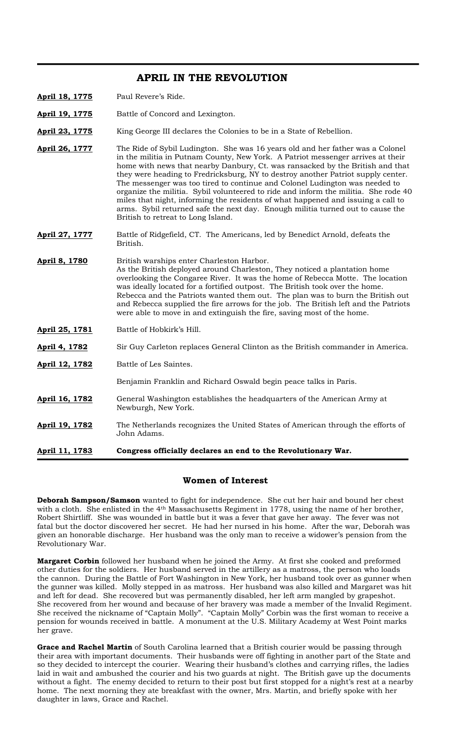#### **APRIL IN THE REVOLUTION**

- **April 18, 1775** Paul Revere's Ride.
- **April 19, 1775** Battle of Concord and Lexington.
- April 23, 1775 King George III declares the Colonies to be in a State of Rebellion.
- **April 26, 1777** The Ride of Sybil Ludington. She was 16 years old and her father was a Colonel in the militia in Putnam County, New York. A Patriot messenger arrives at their home with news that nearby Danbury, Ct. was ransacked by the British and that they were heading to Fredricksburg, NY to destroy another Patriot supply center. The messenger was too tired to continue and Colonel Ludington was needed to organize the militia. Sybil volunteered to ride and inform the militia. She rode 40 miles that night, informing the residents of what happened and issuing a call to arms. Sybil returned safe the next day. Enough militia turned out to cause the British to retreat to Long Island.
- **April 27, 1777** Battle of Ridgefield, CT. The Americans, led by Benedict Arnold, defeats the British.
- April 8, 1780 British warships enter Charleston Harbor. As the British deployed around Charleston, They noticed a plantation home overlooking the Congaree River. It was the home of Rebecca Motte. The location was ideally located for a fortified outpost. The British took over the home. Rebecca and the Patriots wanted them out. The plan was to burn the British out and Rebecca supplied the fire arrows for the job. The British left and the Patriots were able to move in and extinguish the fire, saving most of the home.
- **April 25, 1781** Battle of Hobkirk's Hill.
- **April 4, 1782** Sir Guy Carleton replaces General Clinton as the British commander in America.
- **April 12, 1782** Battle of Les Saintes.
	- Benjamin Franklin and Richard Oswald begin peace talks in Paris.
- **April 16, 1782** General Washington establishes the headquarters of the American Army at Newburgh, New York.
- **April 19, 1782** The Netherlands recognizes the United States of American through the efforts of John Adams.
- **April 11, 1783 Congress officially declares an end to the Revolutionary War.**

#### **Women of Interest**

**Deborah Sampson/Samson** wanted to fight for independence. She cut her hair and bound her chest with a cloth. She enlisted in the 4<sup>th</sup> Massachusetts Regiment in 1778, using the name of her brother, Robert Shirtliff. She was wounded in battle but it was a fever that gave her away. The fever was not fatal but the doctor discovered her secret. He had her nursed in his home. After the war, Deborah was given an honorable discharge. Her husband was the only man to receive a widower's pension from the Revolutionary War.

**Margaret Corbin** followed her husband when he joined the Army. At first she cooked and preformed other duties for the soldiers. Her husband served in the artillery as a matross, the person who loads the cannon. During the Battle of Fort Washington in New York, her husband took over as gunner when the gunner was killed. Molly stepped in as matross. Her husband was also killed and Margaret was hit and left for dead. She recovered but was permanently disabled, her left arm mangled by grapeshot. She recovered from her wound and because of her bravery was made a member of the Invalid Regiment. She received the nickname of "Captain Molly". "Captain Molly" Corbin was the first woman to receive a pension for wounds received in battle. A monument at the U.S. Military Academy at West Point marks her grave.

**Grace and Rachel Martin** of South Carolina learned that a British courier would be passing through their area with important documents. Their husbands were off fighting in another part of the State and so they decided to intercept the courier. Wearing their husband's clothes and carrying rifles, the ladies laid in wait and ambushed the courier and his two guards at night. The British gave up the documents without a fight. The enemy decided to return to their post but first stopped for a night's rest at a nearby home. The next morning they ate breakfast with the owner, Mrs. Martin, and briefly spoke with her daughter in laws, Grace and Rachel.